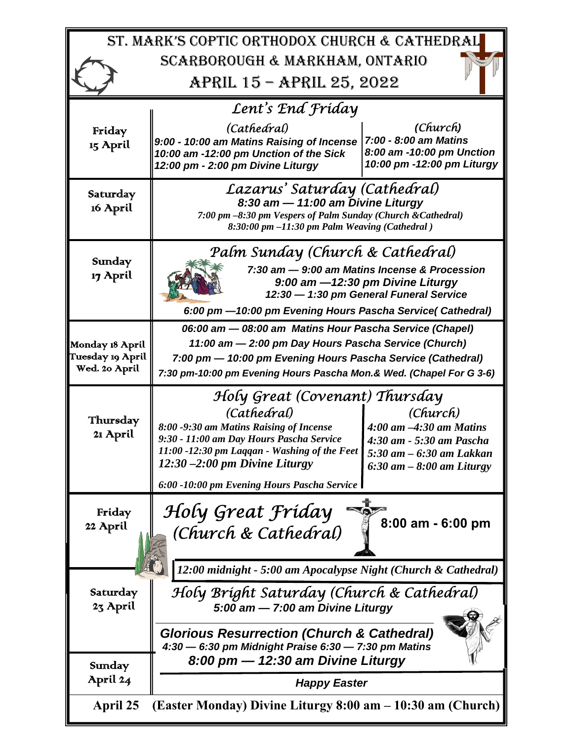| ST. MARK'S COPTIC ORTHODOX CHURCH & CATHEDRAL                          |                                                                                                                                                                                                                                                                         |                                                                                                                                    |
|------------------------------------------------------------------------|-------------------------------------------------------------------------------------------------------------------------------------------------------------------------------------------------------------------------------------------------------------------------|------------------------------------------------------------------------------------------------------------------------------------|
| SCARBOROUGH & MARKHAM, ONTARIO                                         |                                                                                                                                                                                                                                                                         |                                                                                                                                    |
| APRIL 15 - APRIL 25, 2022                                              |                                                                                                                                                                                                                                                                         |                                                                                                                                    |
| Lent's End Friday                                                      |                                                                                                                                                                                                                                                                         |                                                                                                                                    |
| Friday<br>15 April                                                     | (Cathedral)<br>9:00 - 10:00 am Matins Raising of Incense<br>10:00 am -12:00 pm Unction of the Sick<br>12:00 pm - 2:00 pm Divine Liturgy                                                                                                                                 | (Church)<br>7:00 - 8:00 am Matins<br>8:00 am -10:00 pm Unction<br>10:00 pm -12:00 pm Liturgy                                       |
| Saturday<br>16 April                                                   | Lazarus' Saturday (Cathedral)<br>8:30 am - 11:00 am Divine Liturgy<br>7:00 pm -8:30 pm Vespers of Palm Sunday (Church & Cathedral)<br>$8:30:00$ pm $-11:30$ pm Palm Weaving (Cathedral)                                                                                 |                                                                                                                                    |
| Sunday<br>17 April                                                     | Palm Sunday (Church & Cathedral)<br>7:30 am - 9:00 am Matins Incense & Procession<br>9:00 am -12:30 pm Divine Liturgy<br>12:30 - 1:30 pm General Funeral Service<br>6:00 pm - 10:00 pm Evening Hours Pascha Service (Cathedral)                                         |                                                                                                                                    |
| Monday 18 April<br>Tuesday 19 April<br>Wed. 20 April                   | 06:00 am - 08:00 am Matins Hour Pascha Service (Chapel)<br>11:00 am - 2:00 pm Day Hours Pascha Service (Church)<br>7:00 pm - 10:00 pm Evening Hours Pascha Service (Cathedral)<br>7:30 pm-10:00 pm Evening Hours Pascha Mon.& Wed. (Chapel For G 3-6)                   |                                                                                                                                    |
| Thursday<br>21 April                                                   | Holy Great (Covenant) Thursday<br>(Cathedral)<br>8:00 -9:30 am Matins Raising of Incense<br>9:30 - 11:00 am Day Hours Pascha Service<br>11:00 -12:30 pm Laggan - Washing of the Feet<br>$12:30 - 2:00$ pm Divine Liturgy<br>6:00 -10:00 pm Evening Hours Pascha Service | (Church)<br>$4:00$ am $-4:30$ am Matins<br>4:30 am - 5:30 am Pascha<br>$5:30$ am $-6:30$ am Lakkan<br>$6:30$ am $-8:00$ am Liturgy |
| Friday<br>22 April                                                     | Holy Great Friday<br>(Church & Cathedral)<br>12:00 midnight - 5:00 am Apocalypse Night (Church & Cathedral)                                                                                                                                                             | $8:00$ am - $6:00$ pm                                                                                                              |
| Saturday                                                               | Holy Bright Saturday (Church & Cathedral)                                                                                                                                                                                                                               |                                                                                                                                    |
| 23 April<br>Sunday                                                     | 5:00 am - 7:00 am Divine Liturgy<br><b>Glorious Resurrection (Church &amp; Cathedral)</b><br>4:30 - 6:30 pm Midnight Praise 6:30 - 7:30 pm Matins<br>8:00 pm - 12:30 am Divine Liturgy                                                                                  |                                                                                                                                    |
| April 24                                                               | <b>Happy Easter</b>                                                                                                                                                                                                                                                     |                                                                                                                                    |
| (Easter Monday) Divine Liturgy 8:00 am – 10:30 am (Church)<br>April 25 |                                                                                                                                                                                                                                                                         |                                                                                                                                    |